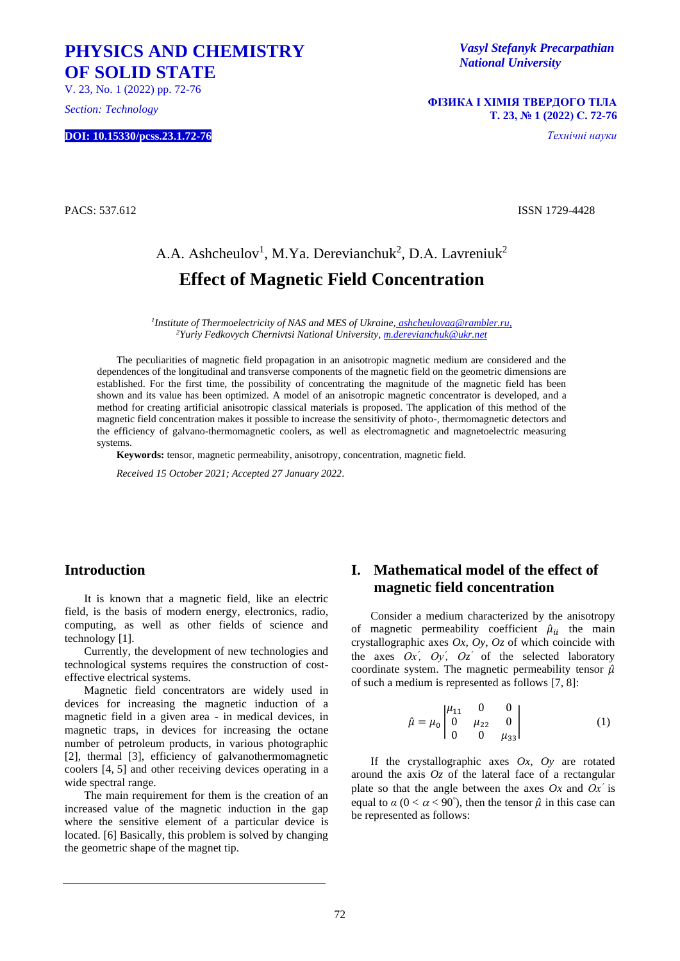## **PHYSICS AND CHEMISTRY OF SOLID STATE**

V. 23, No. 1 (2022) pp. 72-76

*Section: Technology*

**DOI: 10.15330/pcss.23.1.72-76**

*Vasyl Stefanyk Precarpathian National University*

**ФІЗИКА І ХІМІЯ ТВЕРДОГО ТІЛА Т. 23, № 1 (2022) С. 72-76**

*Технічні науки*

PACS: 537.612 ISSN 1729-4428

# A.A. Ashcheulov<sup>1</sup>, M.Ya. Derevianchuk<sup>2</sup>, D.A. Lavreniuk<sup>2</sup> **Effect of Magnetic Field Concentration**

*1 Institute of Thermoelectricity of NAS and MES of Ukraine, ashcheulovaa@rambler.ru, <sup>2</sup>Yuriy Fedkovych Chernivtsi National University, m.derevianchuk@ukr.net*

The peculiarities of magnetic field propagation in an anisotropic magnetic medium are considered and the dependences of the longitudinal and transverse components of the magnetic field on the geometric dimensions are established. For the first time, the possibility of concentrating the magnitude of the magnetic field has been shown and its value has been optimized. A model of an anisotropic magnetic concentrator is developed, and a method for creating artificial anisotropic classical materials is proposed. The application of this method of the magnetic field concentration makes it possible to increase the sensitivity of photo-, thermomagnetic detectors and the efficiency of galvano-thermomagnetic coolers, as well as electromagnetic and magnetoelectric measuring systems.

**Keywords:** tensor, magnetic permeability, anisotropy, concentration, magnetic field.

*Received 15 October 2021; Accepted 27 January 2022*.

### **Introduction**

It is known that a magnetic field, like an electric field, is the basis of modern energy, electronics, radio, computing, as well as other fields of science and technology [1].

Currently, the development of new technologies and technological systems requires the construction of costeffective electrical systems.

Magnetic field concentrators are widely used in devices for increasing the magnetic induction of a magnetic field in a given area - in medical devices, in magnetic traps, in devices for increasing the octane number of petroleum products, in various photographic [2], thermal [3], efficiency of galvanothermomagnetic coolers [4, 5] and other receiving devices operating in a wide spectral range.

The main requirement for them is the creation of an increased value of the magnetic induction in the gap where the sensitive element of a particular device is located. [6] Basically, this problem is solved by changing the geometric shape of the magnet tip.

## **I. Mathematical model of the effect of magnetic field concentration**

Consider a medium characterized by the anisotropy of magnetic permeability coefficient  $\hat{\mu}_{ii}$  the main crystallographic axes *Ox, Oy, Oz* of which coincide with the axes  $Ox'$ ,  $Oy'$ ,  $Oz'$  of the selected laboratory coordinate system. The magnetic permeability tensor  $\hat{\mu}$ of such a medium is represented as follows [7, 8]:

$$
\hat{\mu} = \mu_0 \begin{vmatrix} \mu_{11} & 0 & 0 \\ 0 & \mu_{22} & 0 \\ 0 & 0 & \mu_{33} \end{vmatrix}
$$
 (1)

If the crystallographic axes *Ox, Oy* are rotated around the axis  $Oz$  of the lateral face of a rectangular plate so that the angle between the axes  $Ox$  and  $Ox'$  is equal to  $\alpha$  ( $0 < \alpha < 90^{\circ}$ ), then the tensor  $\hat{\mu}$  in this case can be represented as follows: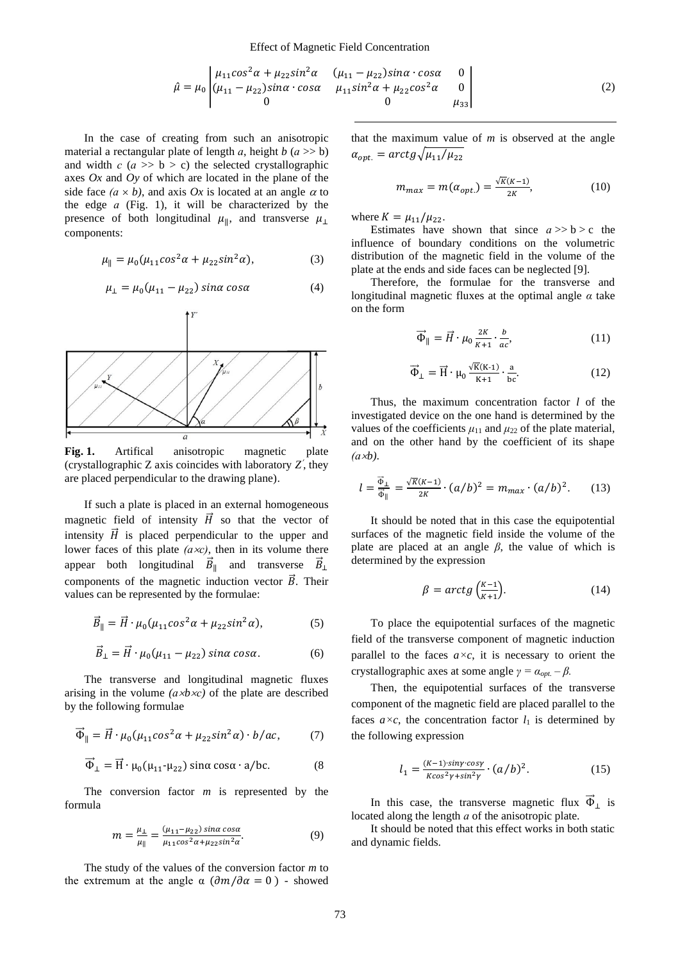$$
\hat{\mu} = \mu_0 \begin{vmatrix} \mu_{11} \cos^2 \alpha + \mu_{22} \sin^2 \alpha & (\mu_{11} - \mu_{22}) \sin \alpha \cdot \cos \alpha & 0 \\ (\mu_{11} - \mu_{22}) \sin \alpha \cdot \cos \alpha & \mu_{11} \sin^2 \alpha + \mu_{22} \cos^2 \alpha & 0 \\ 0 & 0 & \mu_{33} \end{vmatrix}
$$
(2)

In the case of creating from such an anisotropic material a rectangular plate of length *а*, height *b* (*а* >> b) and width  $c$  ( $a \gg b > c$ ) the selected crystallographic axes *Ox* and *Oy* of which are located in the plane of the side face  $(a \times b)$ , and axis Ox is located at an angle  $\alpha$  to the edge *а* (Fig. 1), it will be characterized by the presence of both longitudinal  $\mu_{\parallel}$ , and transverse  $\mu_{\perp}$ components:

$$
\mu_{\parallel} = \mu_0 (\mu_{11} \cos^2 \alpha + \mu_{22} \sin^2 \alpha), \tag{3}
$$

$$
\mu_{\perp} = \mu_0 (\mu_{11} - \mu_{22}) \sin \alpha \cos \alpha \tag{4}
$$



**Fig. 1.** Artifical anisotropic magnetic plate (crystallographic  $Z$  axis coincides with laboratory  $Z'$ , they are placed perpendicular to the drawing plane).

If such a plate is placed in an external homogeneous magnetic field of intensity  $\vec{H}$  so that the vector of intensity  $\vec{H}$  is placed perpendicular to the upper and lower faces of this plate *(ас)*, then in its volume there appear both longitudinal  $\vec{B}_{\parallel}$  and transverse  $\vec{B}_{\perp}$ components of the magnetic induction vector  $\vec{B}$ . Their values can be represented by the formulae:

$$
\vec{B}_{\parallel} = \vec{H} \cdot \mu_0 (\mu_{11} \cos^2 \alpha + \mu_{22} \sin^2 \alpha), \tag{5}
$$

$$
\vec{B}_{\perp} = \vec{H} \cdot \mu_0 (\mu_{11} - \mu_{22}) \sin \alpha \cos \alpha. \tag{6}
$$

The transverse and longitudinal magnetic fluxes arising in the volume *(аbс)* of the plate are described by the following formulae

$$
\vec{\Phi}_{\parallel} = \vec{H} \cdot \mu_0 (\mu_{11} \cos^2 \alpha + \mu_{22} \sin^2 \alpha) \cdot b / ac, \tag{7}
$$

$$
\vec{\Phi}_{\perp} = \vec{H} \cdot \mu_0 (\mu_{11} - \mu_{22}) \sin \alpha \cos \alpha \cdot a/bc.
$$
 (8)

The conversion factor *m* is represented by the formula

$$
m = \frac{\mu_1}{\mu_{\parallel}} = \frac{(\mu_{11} - \mu_{22}) \sin \alpha \cos \alpha}{\mu_{11} \cos^2 \alpha + \mu_{22} \sin^2 \alpha}.
$$
 (9)

The study of the values of the conversion factor *m* to the extremum at the angle  $\alpha$  ( $\frac{\partial m}{\partial \alpha} = 0$ ) - showed that the maximum value of *m* is observed at the angle  $\alpha_{opt.} = \arctg \sqrt{\mu_{11}/\mu_{22}}$ 

$$
m_{max} = m(\alpha_{opt.}) = \frac{\sqrt{K(K-1)}}{2K},\tag{10}
$$

where  $K = \mu_{11}/\mu_{22}$ .

Estimates have shown that since  $a \gg b > c$  the influence of boundary conditions on the volumetric distribution of the magnetic field in the volume of the plate at the ends and side faces can be neglected [9].

Therefore, the formulae for the transverse and longitudinal magnetic fluxes at the optimal angle *α* take on the form

$$
\vec{\Phi}_{\parallel} = \vec{H} \cdot \mu_0 \frac{2K}{K+1} \cdot \frac{b}{ac},\tag{11}
$$

$$
\overrightarrow{\Phi}_{\perp} = \overrightarrow{H} \cdot \mu_0 \frac{\sqrt{K}(K \cdot 1)}{K + 1} \cdot \frac{a}{bc}.
$$
 (12)

Thus, the maximum concentration factor *l* of the investigated device on the one hand is determined by the values of the coefficients  $\mu_{11}$  and  $\mu_{22}$  of the plate material, and on the other hand by the coefficient of its shape *(аb)*.

$$
l = \frac{\vec{\Phi}_{\perp}}{\vec{\Phi}_{\parallel}} = \frac{\sqrt{K}(K-1)}{2K} \cdot (a/b)^2 = m_{max} \cdot (a/b)^2. \tag{13}
$$

It should be noted that in this case the equipotential surfaces of the magnetic field inside the volume of the plate are placed at an angle *β*, the value of which is determined by the expression

$$
\beta = \arctg\left(\frac{\kappa - 1}{\kappa + 1}\right). \tag{14}
$$

To place the equipotential surfaces of the magnetic field of the transverse component of magnetic induction parallel to the faces  $a \times c$ , it is necessary to orient the crystallographic axes at some angle  $\gamma = \alpha_{opt} - \beta$ .

Then, the equipotential surfaces of the transverse component of the magnetic field are placed parallel to the faces  $a \times c$ , the concentration factor  $l_1$  is determined by the following expression

$$
l_1 = \frac{(K-1)\cdot \sin\gamma \cdot \cos\gamma}{K\cos^2\gamma + \sin^2\gamma} \cdot (a/b)^2.
$$
 (15)

In this case, the transverse magnetic flux  $\vec{\Phi}_{\perp}$  is located along the length *а* of the anisotropic plate.

It should be noted that this effect works in both static and dynamic fields.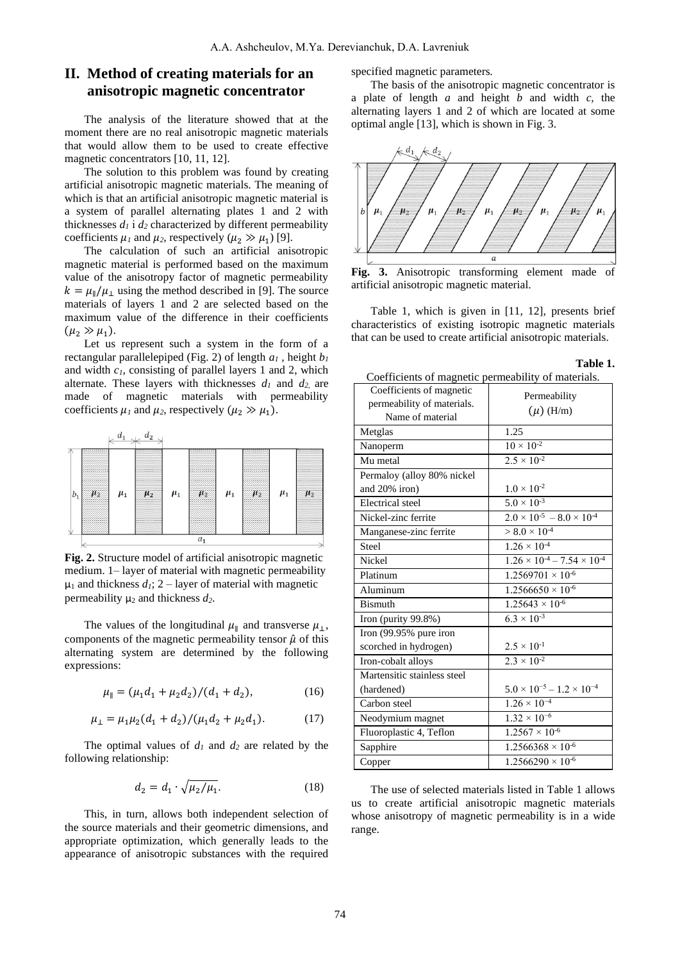### **II. Method of creating materials for an anisotropic magnetic concentrator**

The analysis of the literature showed that at the moment there are no real anisotropic magnetic materials that would allow them to be used to create effective magnetic concentrators [10, 11, 12].

The solution to this problem was found by creating artificial anisotropic magnetic materials. The meaning of which is that an artificial anisotropic magnetic material is a system of parallel alternating plates 1 and 2 with thicknesses  $d_1$  i  $d_2$  characterized by different permeability coefficients  $\mu_1$  and  $\mu_2$ , respectively ( $\mu_2 \gg \mu_1$ ) [9].

The calculation of such an artificial anisotropic magnetic material is performed based on the maximum value of the anisotropy factor of magnetic permeability  $k = \mu_{\parallel}/\mu_{\perp}$  using the method described in [9]. The source materials of layers 1 and 2 are selected based on the maximum value of the difference in their coefficients  $(\mu_2 \gg \mu_1).$ 

Let us represent such a system in the form of a rectangular parallelepiped (Fig. 2) of length  $a_1$ , height  $b_1$ and width *c1*, consisting of parallel layers 1 and 2, which alternate. These layers with thicknesses *d<sup>1</sup>* and *d2*, are made of magnetic materials with permeability coefficients  $\mu_1$  and  $\mu_2$ , respectively ( $\mu_2 \gg \mu_1$ ).



**Fig. 2.** Structure model of artificial anisotropic magnetic medium. 1– layer of material with magnetic permeability  $\mu_1$  and thickness  $d_1$ ; 2 – layer of material with magnetic permeability  $\mu_2$  and thickness  $d_2$ .

The values of the longitudinal  $\mu_{\parallel}$  and transverse  $\mu_{\perp}$ , components of the magnetic permeability tensor  $\hat{\mu}$  of this alternating system are determined by the following expressions:

$$
\mu_{\parallel} = (\mu_1 d_1 + \mu_2 d_2) / (d_1 + d_2),\tag{16}
$$

$$
\mu_{\perp} = \mu_1 \mu_2 (d_1 + d_2) / (\mu_1 d_2 + \mu_2 d_1). \tag{17}
$$

The optimal values of  $d_1$  and  $d_2$  are related by the following relationship:

$$
d_2 = d_1 \cdot \sqrt{\mu_2/\mu_1}.\tag{18}
$$

This, in turn, allows both independent selection of the source materials and their geometric dimensions, and appropriate optimization, which generally leads to the appearance of anisotropic substances with the required specified magnetic parameters.

The basis of the anisotropic magnetic concentrator is a plate of length *a* and height *b* and width *c,* the alternating layers 1 and 2 of which are located at some optimal angle [13], which is shown in Fig. 3.



**Fig. 3.** Anisotropic transforming element made of artificial anisotropic magnetic material.

Table 1, which is given in [11, 12], presents brief characteristics of existing isotropic magnetic materials that can be used to create artificial anisotropic materials.

**Table 1.**

| Coefficients of magnetic permeability of materials. |                                             |  |
|-----------------------------------------------------|---------------------------------------------|--|
| Coefficients of magnetic                            | Permeability                                |  |
| permeability of materials.                          | $(\mu)$ (H/m)                               |  |
| Name of material                                    |                                             |  |
| Metglas                                             | 1.25                                        |  |
| Nanoperm                                            | $10 \times 10^{-2}$                         |  |
| Mu metal                                            | $2.5 \times 10^{-2}$                        |  |
| Permaloy (alloy 80% nickel                          |                                             |  |
| and 20% iron)                                       | $1.0 \times 10^{-2}$                        |  |
| <b>Electrical</b> steel                             | $5.0 \times 10^{-3}$                        |  |
| Nickel-zinc ferrite                                 | $2.0 \times 10^{-5} - 8.0 \times 10^{-4}$   |  |
| Manganese-zinc ferrite                              | $> 8.0 \times 10^{-4}$                      |  |
| Steel                                               | $1.26 \times 10^{-4}$                       |  |
| Nickel                                              | $1.26 \times 10^{-4} - 7.54 \times 10^{-4}$ |  |
| Platinum                                            | $1.2569701 \times 10^{-6}$                  |  |
| Aluminum                                            | $1.2566650 \times 10^{-6}$                  |  |
| <b>Bismuth</b>                                      | $1.25643 \times 10^{-6}$                    |  |
| Iron (purity 99.8%)                                 | $6.3 \times 10^{-3}$                        |  |
| Iron (99.95% pure iron                              |                                             |  |
| scorched in hydrogen)                               | $2.5 \times 10^{-1}$                        |  |
| Iron-cobalt alloys                                  | $2.3 \times 10^{-2}$                        |  |
| Martensitic stainless steel                         |                                             |  |
| (hardened)                                          | $5.0 \times 10^{-5} - 1.2 \times 10^{-4}$   |  |
| Carbon steel                                        | $1.26 \times 10^{-4}$                       |  |
| Neodymium magnet                                    | $1.32 \times 10^{-6}$                       |  |
| Fluoroplastic 4, Teflon                             | $1.2567 \times 10^{-6}$                     |  |
| Sapphire                                            | $1.2566368 \times 10^{-6}$                  |  |
| Copper                                              | $1.2566290 \times 10^{-6}$                  |  |

The use of selected materials listed in Table 1 allows us to create artificial anisotropic magnetic materials whose anisotropy of magnetic permeability is in a wide range.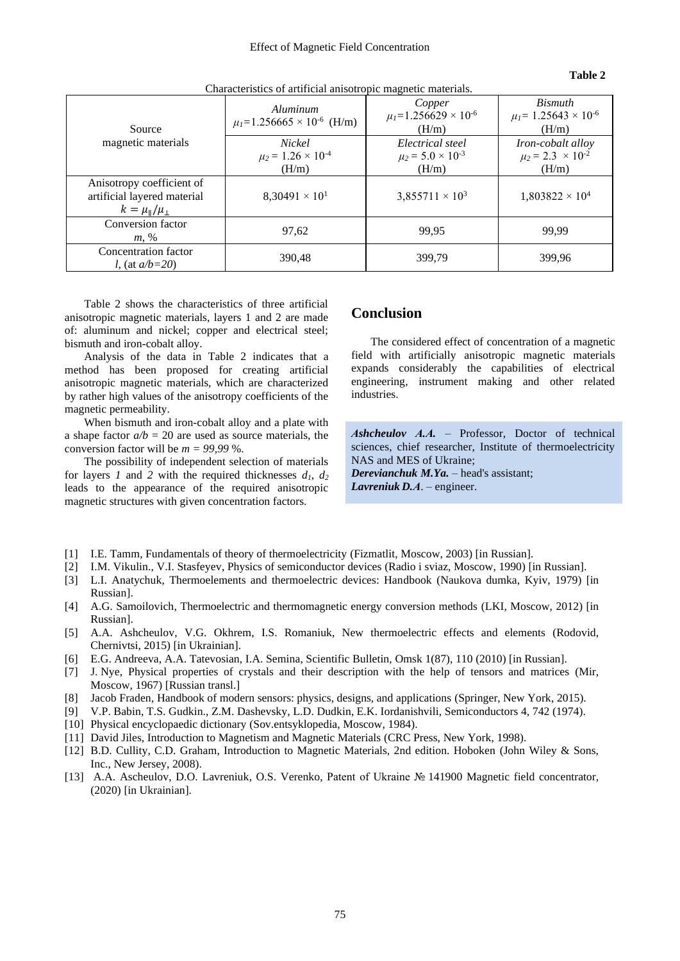| Characterístics of artificial anisotropic magnetic materials.                                 |                                                     |                                                           |                                                                 |
|-----------------------------------------------------------------------------------------------|-----------------------------------------------------|-----------------------------------------------------------|-----------------------------------------------------------------|
| Source<br>magnetic materials                                                                  | Aluminum<br>$\mu_l = 1.256665 \times 10^{-6}$ (H/m) | Copper<br>$\mu_l$ =1.256629 × 10 <sup>-6</sup><br>(H/m)   | <b>Bismuth</b><br>$\mu_l$ = 1.25643 × 10 <sup>-6</sup><br>(H/m) |
|                                                                                               | Nickel<br>$\mu_2 = 1.26 \times 10^{-4}$<br>(H/m)    | Electrical steel<br>$\mu_2 = 5.0 \times 10^{-3}$<br>(H/m) | Iron-cobalt alloy<br>$\mu_2 = 2.3 \times 10^{-2}$<br>(H/m)      |
| Anisotropy coefficient of<br>artificial layered material<br>$k = \mu_{\parallel}/\mu_{\perp}$ | $8,30491 \times 10^{1}$                             | $3,855711 \times 10^{3}$                                  | $1,803822 \times 10^4$                                          |
| Conversion factor<br>$m, \%$                                                                  | 97,62                                               | 99.95                                                     | 99.99                                                           |
| Concentration factor<br><i>l</i> , (at $a/b=20$ )                                             | 390,48                                              | 399.79                                                    | 399.96                                                          |

Characteristics of artificial anisotropic magnetic materials.

Table 2 shows the characteristics of three artificial anisotropic magnetic materials, layers 1 and 2 are made of: aluminum and nickel; copper and electrical steel; bismuth and iron-cobalt alloy.

Analysis of the data in Table 2 indicates that a method has been proposed for creating artificial anisotropic magnetic materials, which are characterized by rather high values of the anisotropy coefficients of the magnetic permeability.

When bismuth and iron-cobalt alloy and a plate with a shape factor  $a/b = 20$  are used as source materials, the conversion factor will be  $m = 99,99\%$ .

The possibility of independent selection of materials for layers *1* and 2 with the required thicknesses  $d_1$ ,  $d_2$ leads to the appearance of the required anisotropic magnetic structures with given concentration factors.

#### **Conclusion**

The considered effect of concentration of a magnetic field with artificially anisotropic magnetic materials expands considerably the capabilities of electrical engineering, instrument making and other related industries.

**Table 2**

*Аshcheulov А.А.* – Professor, Doctor of technical sciences, chief researcher, Institute of thermoelectricity NAS and MES of Ukraine; *Derevianchuk M.Ya.* – head's assistant;

*Lavreniuk D.А*. – engineer.

- [1] I.E. Tamm, Fundamentals of theory of thermoelectricity (Fizmatlit, Moscow, 2003) [in Russian].
- [2] I.M. Vikulin., V.I. Stasfeyev, Physics of semiconductor devices (Radio i sviaz, Moscow, 1990) [in Russian].
- [3] L.I. Anatychuk, Thermoelements and thermoelectric devices: Handbook (Naukova dumka, Kyiv, 1979) [in Russian].
- [4] A.G. Samoilovich, Thermoelectric and thermomagnetic energy conversion methods (LKI, Moscow, 2012) [in Russian].
- [5] A.A. Ashcheulov, V.G. Okhrem, I.S. Romaniuk, New thermoelectric effects and elements (Rodovid, Chernivtsi, 2015) [in Ukrainian].
- [6] E.G. Andreeva, A.A. Tatevosian, I.A. Semina, Scientific Bulletin, Omsk 1(87), 110 (2010) [in Russian].
- [7] J. Nye, Physical properties of crystals and their description with the help of tensors and matrices (Mir, Moscow, 1967) [Russian transl.]
- [8] Jacob Fraden, Handbook of modern sensors: physics, designs, and applications (Springer, New York, 2015).
- [9] V.P. Babin, T.S. Gudkin., Z.M. Dashevsky, L.D. Dudkin, E.K. Iordanishvili, Semiconductors 4, 742 (1974).
- [10] Physical encyclopaedic dictionary (Sov.entsyklopedia, Moscow, 1984).
- [11] David Jiles, [Introduction to Magnetism and Magnetic Materials](https://books.google.com/books?id=axyWXjsdorMC&q=mu+metal&pg=PA354) (CRC Press, New York, 1998).
- [12] B.D. Cullity, C.D. Graham, Introduction to Magnetic Materials, 2nd edition. Hoboken (John Wiley & Sons, Inc., New Jersey, 2008).
- [13] A.A. Ascheulov, D.O. Lavreniuk, O.S. Verenko, Patent of Ukraine № 141900 Magnetic field concentrator, (2020) [in Ukrainian].